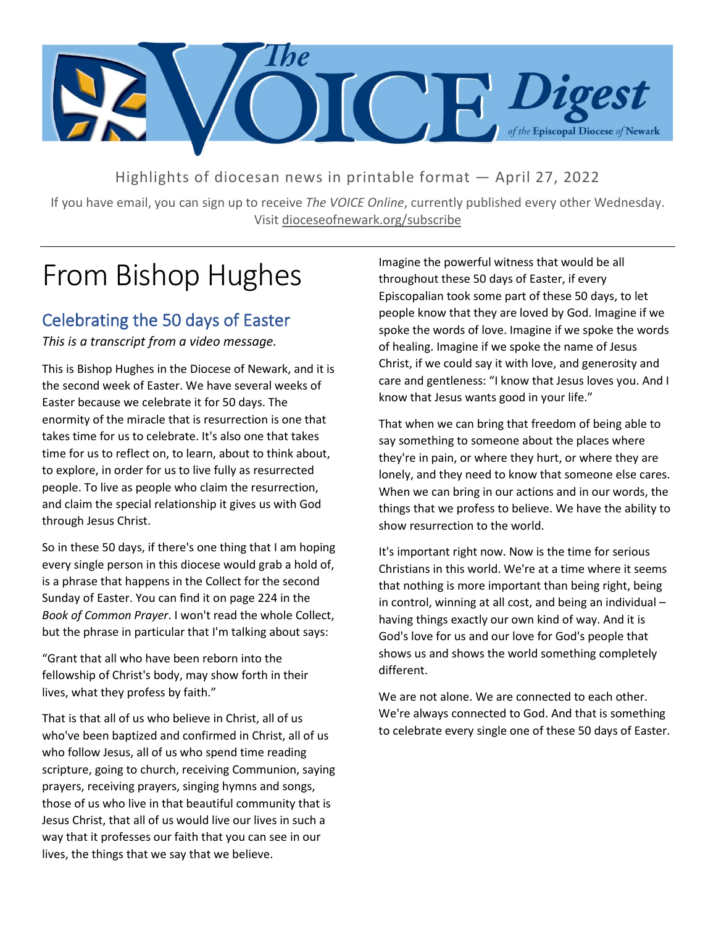

Highlights of diocesan news in printable format — April 27, 2022

If you have email, you can sign up to receive *The VOICE Online*, currently published every other Wednesday. Visit dioceseofnewark.org/subscribe

## From Bishop Hughes

#### Celebrating the 50 days of Easter

*This is a transcript from a video message.*

This is Bishop Hughes in the Diocese of Newark, and it is the second week of Easter. We have several weeks of Easter because we celebrate it for 50 days. The enormity of the miracle that is resurrection is one that takes time for us to celebrate. It's also one that takes time for us to reflect on, to learn, about to think about, to explore, in order for us to live fully as resurrected people. To live as people who claim the resurrection, and claim the special relationship it gives us with God through Jesus Christ.

So in these 50 days, if there's one thing that I am hoping every single person in this diocese would grab a hold of, is a phrase that happens in the Collect for the second Sunday of Easter. You can find it on page 224 in the *Book of Common Prayer*. I won't read the whole Collect, but the phrase in particular that I'm talking about says:

"Grant that all who have been reborn into the fellowship of Christ's body, may show forth in their lives, what they profess by faith."

That is that all of us who believe in Christ, all of us who've been baptized and confirmed in Christ, all of us who follow Jesus, all of us who spend time reading scripture, going to church, receiving Communion, saying prayers, receiving prayers, singing hymns and songs, those of us who live in that beautiful community that is Jesus Christ, that all of us would live our lives in such a way that it professes our faith that you can see in our lives, the things that we say that we believe.

Imagine the powerful witness that would be all throughout these 50 days of Easter, if every Episcopalian took some part of these 50 days, to let people know that they are loved by God. Imagine if we spoke the words of love. Imagine if we spoke the words of healing. Imagine if we spoke the name of Jesus Christ, if we could say it with love, and generosity and care and gentleness: "I know that Jesus loves you. And I know that Jesus wants good in your life."

That when we can bring that freedom of being able to say something to someone about the places where they're in pain, or where they hurt, or where they are lonely, and they need to know that someone else cares. When we can bring in our actions and in our words, the things that we profess to believe. We have the ability to show resurrection to the world.

It's important right now. Now is the time for serious Christians in this world. We're at a time where it seems that nothing is more important than being right, being in control, winning at all cost, and being an individual – having things exactly our own kind of way. And it is God's love for us and our love for God's people that shows us and shows the world something completely different.

We are not alone. We are connected to each other. We're always connected to God. And that is something to celebrate every single one of these 50 days of Easter.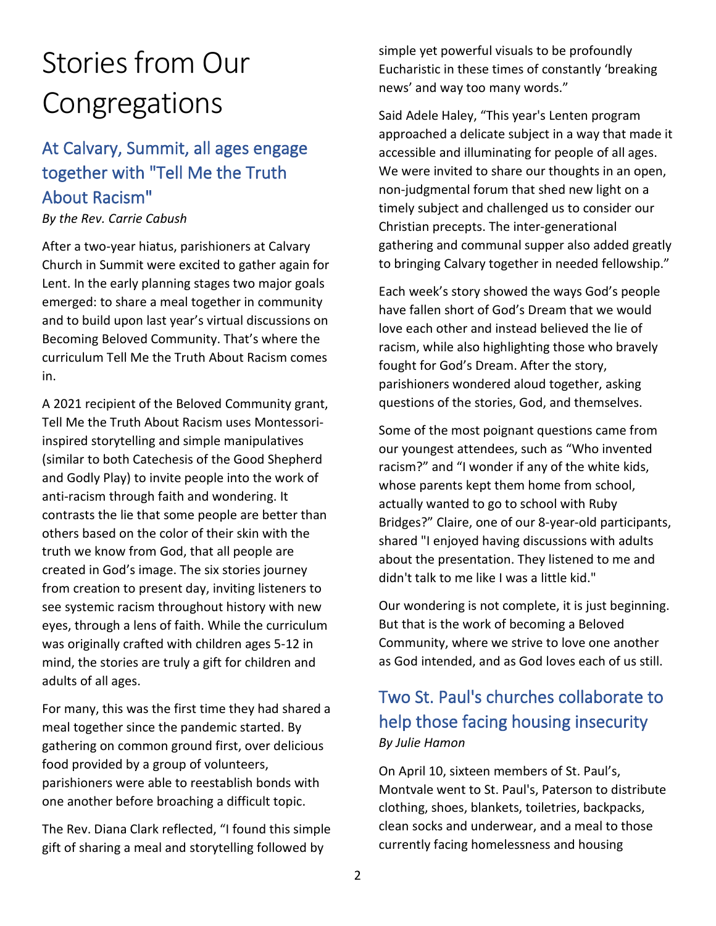# Stories from Our Congregations

### At Calvary, Summit, all ages engage together with "Tell Me the Truth About Racism"

#### *By the Rev. Carrie Cabush*

After a two-year hiatus, parishioners at Calvary Church in Summit were excited to gather again for Lent. In the early planning stages two major goals emerged: to share a meal together in community and to build upon last year's virtual discussions on Becoming Beloved Community. That's where the curriculum Tell Me the Truth About Racism comes in.

A 2021 recipient of the Beloved Community grant, Tell Me the Truth About Racism uses Montessoriinspired storytelling and simple manipulatives (similar to both Catechesis of the Good Shepherd and Godly Play) to invite people into the work of anti-racism through faith and wondering. It contrasts the lie that some people are better than others based on the color of their skin with the truth we know from God, that all people are created in God's image. The six stories journey from creation to present day, inviting listeners to see systemic racism throughout history with new eyes, through a lens of faith. While the curriculum was originally crafted with children ages 5-12 in mind, the stories are truly a gift for children and adults of all ages.

For many, this was the first time they had shared a meal together since the pandemic started. By gathering on common ground first, over delicious food provided by a group of volunteers, parishioners were able to reestablish bonds with one another before broaching a difficult topic.

The Rev. Diana Clark reflected, "I found this simple gift of sharing a meal and storytelling followed by

simple yet powerful visuals to be profoundly Eucharistic in these times of constantly 'breaking news' and way too many words."

Said Adele Haley, "This year's Lenten program approached a delicate subject in a way that made it accessible and illuminating for people of all ages. We were invited to share our thoughts in an open, non-judgmental forum that shed new light on a timely subject and challenged us to consider our Christian precepts. The inter-generational gathering and communal supper also added greatly to bringing Calvary together in needed fellowship."

Each week's story showed the ways God's people have fallen short of God's Dream that we would love each other and instead believed the lie of racism, while also highlighting those who bravely fought for God's Dream. After the story, parishioners wondered aloud together, asking questions of the stories, God, and themselves.

Some of the most poignant questions came from our youngest attendees, such as "Who invented racism?" and "I wonder if any of the white kids, whose parents kept them home from school, actually wanted to go to school with Ruby Bridges?" Claire, one of our 8-year-old participants, shared "I enjoyed having discussions with adults about the presentation. They listened to me and didn't talk to me like I was a little kid."

Our wondering is not complete, it is just beginning. But that is the work of becoming a Beloved Community, where we strive to love one another as God intended, and as God loves each of us still.

### Two St. Paul's churches collaborate to help those facing housing insecurity *By Julie Hamon*

On April 10, sixteen members of St. Paul's, Montvale went to St. Paul's, Paterson to distribute clothing, shoes, blankets, toiletries, backpacks, clean socks and underwear, and a meal to those currently facing homelessness and housing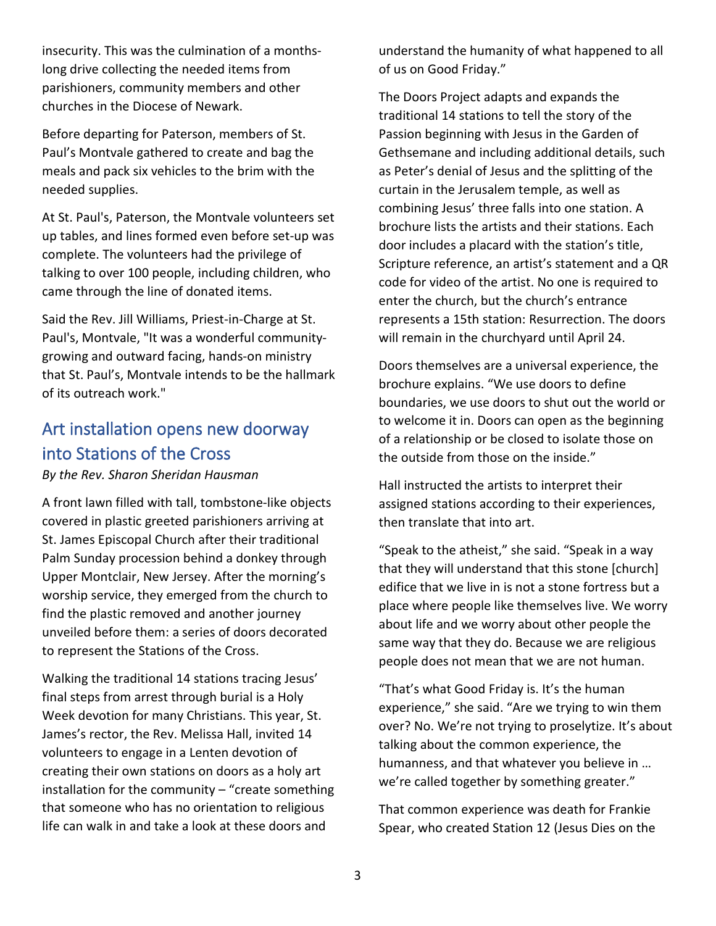insecurity. This was the culmination of a monthslong drive collecting the needed items from parishioners, community members and other churches in the Diocese of Newark.

Before departing for Paterson, members of St. Paul's Montvale gathered to create and bag the meals and pack six vehicles to the brim with the needed supplies.

At St. Paul's, Paterson, the Montvale volunteers set up tables, and lines formed even before set-up was complete. The volunteers had the privilege of talking to over 100 people, including children, who came through the line of donated items.

Said the Rev. Jill Williams, Priest-in-Charge at St. Paul's, Montvale, "It was a wonderful communitygrowing and outward facing, hands-on ministry that St. Paul's, Montvale intends to be the hallmark of its outreach work."

### Art installation opens new doorway into Stations of the Cross

*By the Rev. Sharon Sheridan Hausman*

A front lawn filled with tall, tombstone-like objects covered in plastic greeted parishioners arriving at St. James Episcopal Church after their traditional Palm Sunday procession behind a donkey through Upper Montclair, New Jersey. After the morning's worship service, they emerged from the church to find the plastic removed and another journey unveiled before them: a series of doors decorated to represent the Stations of the Cross.

Walking the traditional 14 stations tracing Jesus' final steps from arrest through burial is a Holy Week devotion for many Christians. This year, St. James's rector, the Rev. Melissa Hall, invited 14 volunteers to engage in a Lenten devotion of creating their own stations on doors as a holy art installation for the community – "create something that someone who has no orientation to religious life can walk in and take a look at these doors and

understand the humanity of what happened to all of us on Good Friday."

The Doors Project adapts and expands the traditional 14 stations to tell the story of the Passion beginning with Jesus in the Garden of Gethsemane and including additional details, such as Peter's denial of Jesus and the splitting of the curtain in the Jerusalem temple, as well as combining Jesus' three falls into one station. A brochure lists the artists and their stations. Each door includes a placard with the station's title, Scripture reference, an artist's statement and a QR code for video of the artist. No one is required to enter the church, but the church's entrance represents a 15th station: Resurrection. The doors will remain in the churchyard until April 24.

Doors themselves are a universal experience, the brochure explains. "We use doors to define boundaries, we use doors to shut out the world or to welcome it in. Doors can open as the beginning of a relationship or be closed to isolate those on the outside from those on the inside."

Hall instructed the artists to interpret their assigned stations according to their experiences, then translate that into art.

"Speak to the atheist," she said. "Speak in a way that they will understand that this stone [church] edifice that we live in is not a stone fortress but a place where people like themselves live. We worry about life and we worry about other people the same way that they do. Because we are religious people does not mean that we are not human.

"That's what Good Friday is. It's the human experience," she said. "Are we trying to win them over? No. We're not trying to proselytize. It's about talking about the common experience, the humanness, and that whatever you believe in … we're called together by something greater."

That common experience was death for Frankie Spear, who created Station 12 (Jesus Dies on the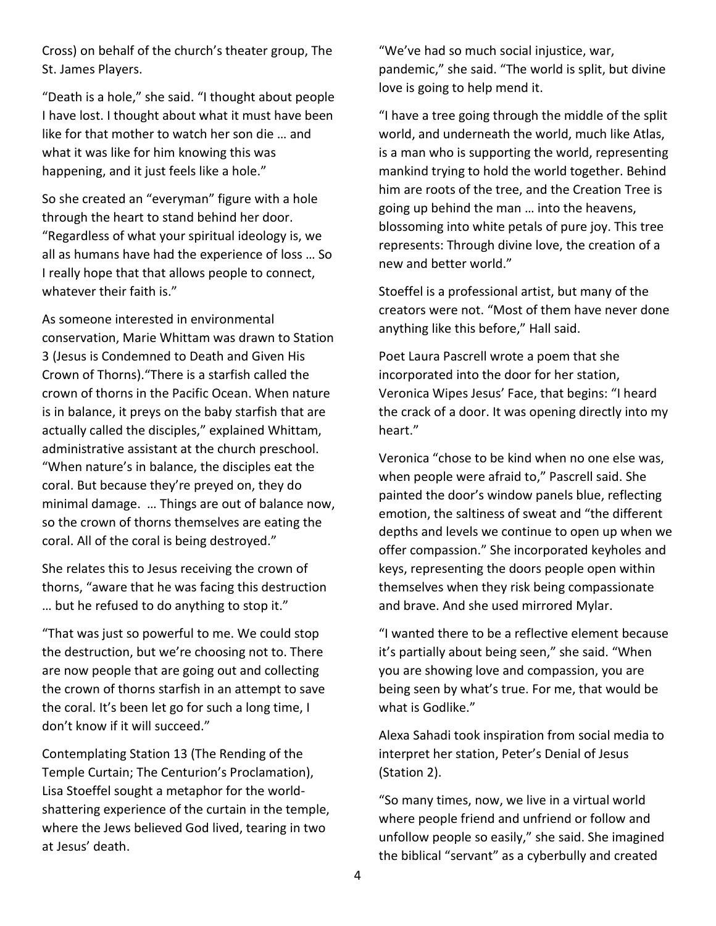Cross) on behalf of the church's theater group, The St. James Players.

"Death is a hole," she said. "I thought about people I have lost. I thought about what it must have been like for that mother to watch her son die … and what it was like for him knowing this was happening, and it just feels like a hole."

So she created an "everyman" figure with a hole through the heart to stand behind her door. "Regardless of what your spiritual ideology is, we all as humans have had the experience of loss … So I really hope that that allows people to connect, whatever their faith is."

As someone interested in environmental conservation, Marie Whittam was drawn to Station 3 (Jesus is Condemned to Death and Given His Crown of Thorns)."There is a starfish called the crown of thorns in the Pacific Ocean. When nature is in balance, it preys on the baby starfish that are actually called the disciples," explained Whittam, administrative assistant at the church preschool. "When nature's in balance, the disciples eat the coral. But because they're preyed on, they do minimal damage. … Things are out of balance now, so the crown of thorns themselves are eating the coral. All of the coral is being destroyed."

She relates this to Jesus receiving the crown of thorns, "aware that he was facing this destruction … but he refused to do anything to stop it."

"That was just so powerful to me. We could stop the destruction, but we're choosing not to. There are now people that are going out and collecting the crown of thorns starfish in an attempt to save the coral. It's been let go for such a long time, I don't know if it will succeed."

Contemplating Station 13 (The Rending of the Temple Curtain; The Centurion's Proclamation), Lisa Stoeffel sought a metaphor for the worldshattering experience of the curtain in the temple, where the Jews believed God lived, tearing in two at Jesus' death.

"We've had so much social injustice, war, pandemic," she said. "The world is split, but divine love is going to help mend it.

"I have a tree going through the middle of the split world, and underneath the world, much like Atlas, is a man who is supporting the world, representing mankind trying to hold the world together. Behind him are roots of the tree, and the Creation Tree is going up behind the man … into the heavens, blossoming into white petals of pure joy. This tree represents: Through divine love, the creation of a new and better world."

Stoeffel is a professional artist, but many of the creators were not. "Most of them have never done anything like this before," Hall said.

Poet Laura Pascrell wrote a poem that she incorporated into the door for her station, Veronica Wipes Jesus' Face, that begins: "I heard the crack of a door. It was opening directly into my heart."

Veronica "chose to be kind when no one else was, when people were afraid to," Pascrell said. She painted the door's window panels blue, reflecting emotion, the saltiness of sweat and "the different depths and levels we continue to open up when we offer compassion." She incorporated keyholes and keys, representing the doors people open within themselves when they risk being compassionate and brave. And she used mirrored Mylar.

"I wanted there to be a reflective element because it's partially about being seen," she said. "When you are showing love and compassion, you are being seen by what's true. For me, that would be what is Godlike."

Alexa Sahadi took inspiration from social media to interpret her station, Peter's Denial of Jesus (Station 2).

"So many times, now, we live in a virtual world where people friend and unfriend or follow and unfollow people so easily," she said. She imagined the biblical "servant" as a cyberbully and created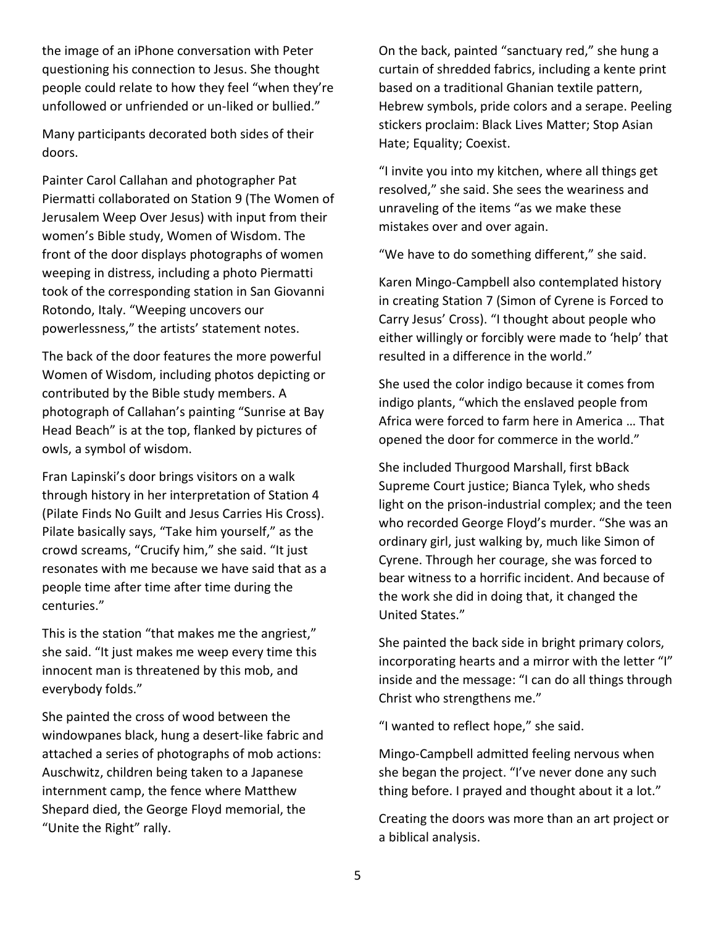the image of an iPhone conversation with Peter questioning his connection to Jesus. She thought people could relate to how they feel "when they're unfollowed or unfriended or un-liked or bullied."

Many participants decorated both sides of their doors.

Painter Carol Callahan and photographer Pat Piermatti collaborated on Station 9 (The Women of Jerusalem Weep Over Jesus) with input from their women's Bible study, Women of Wisdom. The front of the door displays photographs of women weeping in distress, including a photo Piermatti took of the corresponding station in San Giovanni Rotondo, Italy. "Weeping uncovers our powerlessness," the artists' statement notes.

The back of the door features the more powerful Women of Wisdom, including photos depicting or contributed by the Bible study members. A photograph of Callahan's painting "Sunrise at Bay Head Beach" is at the top, flanked by pictures of owls, a symbol of wisdom.

Fran Lapinski's door brings visitors on a walk through history in her interpretation of Station 4 (Pilate Finds No Guilt and Jesus Carries His Cross). Pilate basically says, "Take him yourself," as the crowd screams, "Crucify him," she said. "It just resonates with me because we have said that as a people time after time after time during the centuries."

This is the station "that makes me the angriest," she said. "It just makes me weep every time this innocent man is threatened by this mob, and everybody folds."

She painted the cross of wood between the windowpanes black, hung a desert-like fabric and attached a series of photographs of mob actions: Auschwitz, children being taken to a Japanese internment camp, the fence where Matthew Shepard died, the George Floyd memorial, the "Unite the Right" rally.

On the back, painted "sanctuary red," she hung a curtain of shredded fabrics, including a kente print based on a traditional Ghanian textile pattern, Hebrew symbols, pride colors and a serape. Peeling stickers proclaim: Black Lives Matter; Stop Asian Hate; Equality; Coexist.

"I invite you into my kitchen, where all things get resolved," she said. She sees the weariness and unraveling of the items "as we make these mistakes over and over again.

"We have to do something different," she said.

Karen Mingo-Campbell also contemplated history in creating Station 7 (Simon of Cyrene is Forced to Carry Jesus' Cross). "I thought about people who either willingly or forcibly were made to 'help' that resulted in a difference in the world."

She used the color indigo because it comes from indigo plants, "which the enslaved people from Africa were forced to farm here in America … That opened the door for commerce in the world."

She included Thurgood Marshall, first bBack Supreme Court justice; Bianca Tylek, who sheds light on the prison-industrial complex; and the teen who recorded George Floyd's murder. "She was an ordinary girl, just walking by, much like Simon of Cyrene. Through her courage, she was forced to bear witness to a horrific incident. And because of the work she did in doing that, it changed the United States."

She painted the back side in bright primary colors, incorporating hearts and a mirror with the letter "I" inside and the message: "I can do all things through Christ who strengthens me."

"I wanted to reflect hope," she said.

Mingo-Campbell admitted feeling nervous when she began the project. "I've never done any such thing before. I prayed and thought about it a lot."

Creating the doors was more than an art project or a biblical analysis.